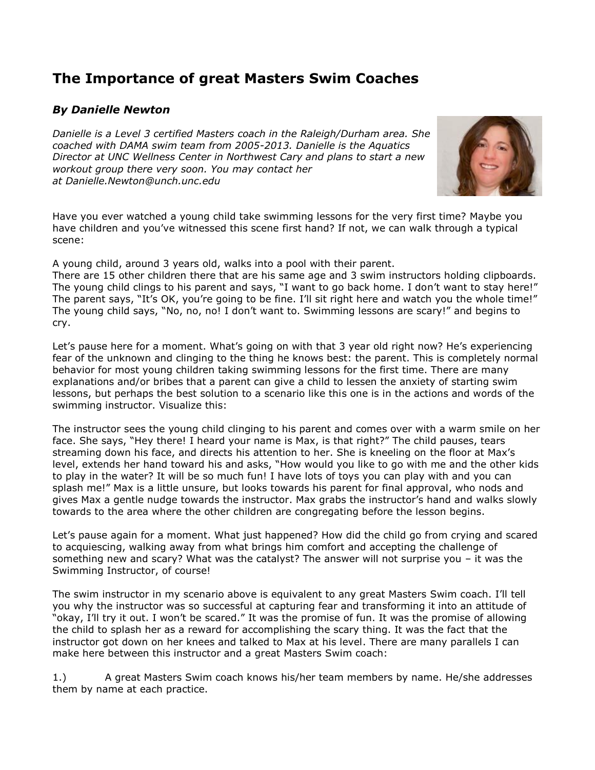## **The Importance of great Masters Swim Coaches**

## *By Danielle Newton*

*Danielle is a Level 3 certified Masters coach in the Raleigh/Durham area. She coached with DAMA swim team from 2005-2013. Danielle is the Aquatics Director at UNC Wellness Center in Northwest Cary and plans to start a new workout group there very soon. You may contact her at Danielle.Newton@unch.unc.edu*



Have you ever watched a young child take swimming lessons for the very first time? Maybe you have children and you've witnessed this scene first hand? If not, we can walk through a typical scene:

A young child, around 3 years old, walks into a pool with their parent.

There are 15 other children there that are his same age and 3 swim instructors holding clipboards. The young child clings to his parent and says, "I want to go back home. I don't want to stay here!" The parent says, "It's OK, you're going to be fine. I'll sit right here and watch you the whole time!" The young child says, "No, no, no! I don't want to. Swimming lessons are scary!" and begins to cry.

Let's pause here for a moment. What's going on with that 3 year old right now? He's experiencing fear of the unknown and clinging to the thing he knows best: the parent. This is completely normal behavior for most young children taking swimming lessons for the first time. There are many explanations and/or bribes that a parent can give a child to lessen the anxiety of starting swim lessons, but perhaps the best solution to a scenario like this one is in the actions and words of the swimming instructor. Visualize this:

The instructor sees the young child clinging to his parent and comes over with a warm smile on her face. She says, "Hey there! I heard your name is Max, is that right?" The child pauses, tears streaming down his face, and directs his attention to her. She is kneeling on the floor at Max's level, extends her hand toward his and asks, "How would you like to go with me and the other kids to play in the water? It will be so much fun! I have lots of toys you can play with and you can splash me!" Max is a little unsure, but looks towards his parent for final approval, who nods and gives Max a gentle nudge towards the instructor. Max grabs the instructor's hand and walks slowly towards to the area where the other children are congregating before the lesson begins.

Let's pause again for a moment. What just happened? How did the child go from crying and scared to acquiescing, walking away from what brings him comfort and accepting the challenge of something new and scary? What was the catalyst? The answer will not surprise you – it was the Swimming Instructor, of course!

The swim instructor in my scenario above is equivalent to any great Masters Swim coach. I'll tell you why the instructor was so successful at capturing fear and transforming it into an attitude of "okay, I'll try it out. I won't be scared." It was the promise of fun. It was the promise of allowing the child to splash her as a reward for accomplishing the scary thing. It was the fact that the instructor got down on her knees and talked to Max at his level. There are many parallels I can make here between this instructor and a great Masters Swim coach:

1.) A great Masters Swim coach knows his/her team members by name. He/she addresses them by name at each practice.